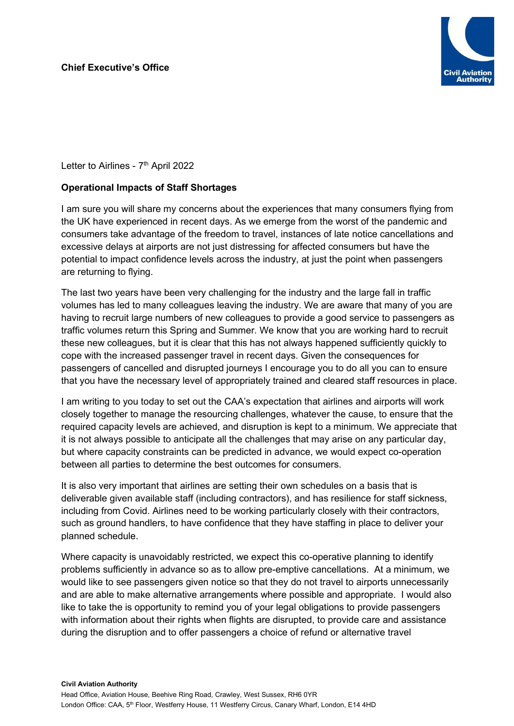

Letter to Airlines - 7<sup>th</sup> April 2022

## **Operational Impacts of Staff Shortages**

I am sure you will share my concerns about the experiences that many consumers flying from the UK have experienced in recent days. As we emerge from the worst of the pandemic and consumers take advantage of the freedom to travel, instances of late notice cancellations and excessive delays at airports are not just distressing for affected consumers but have the potential to impact confidence levels across the industry, at just the point when passengers are returning to flying.

The last two years have been very challenging for the industry and the large fall in traffic volumes has led to many colleagues leaving the industry. We are aware that many of you are having to recruit large numbers of new colleagues to provide a good service to passengers as traffic volumes return this Spring and Summer. We know that you are working hard to recruit these new colleagues, but it is clear that this has not always happened sufficiently quickly to cope with the increased passenger travel in recent days. Given the consequences for passengers of cancelled and disrupted journeys I encourage you to do all you can to ensure that you have the necessary level of appropriately trained and cleared staff resources in place.

I am writing to you today to set out the CAA's expectation that airlines and airports will work closely together to manage the resourcing challenges, whatever the cause, to ensure that the required capacity levels are achieved, and disruption is kept to a minimum. We appreciate that it is not always possible to anticipate all the challenges that may arise on any particular day, but where capacity constraints can be predicted in advance, we would expect co-operation between all parties to determine the best outcomes for consumers.

It is also very important that airlines are setting their own schedules on a basis that is deliverable given available staff (including contractors), and has resilience for staff sickness, including from Covid. Airlines need to be working particularly closely with their contractors, such as ground handlers, to have confidence that they have staffing in place to deliver your planned schedule.

Where capacity is unavoidably restricted, we expect this co-operative planning to identify problems sufficiently in advance so as to allow pre-emptive cancellations. At a minimum, we would like to see passengers given notice so that they do not travel to airports unnecessarily and are able to make alternative arrangements where possible and appropriate. I would also like to take the is opportunity to remind you of your legal obligations to provide passengers with information about their rights when flights are disrupted, to provide care and assistance during the disruption and to offer passengers a choice of refund or alternative travel